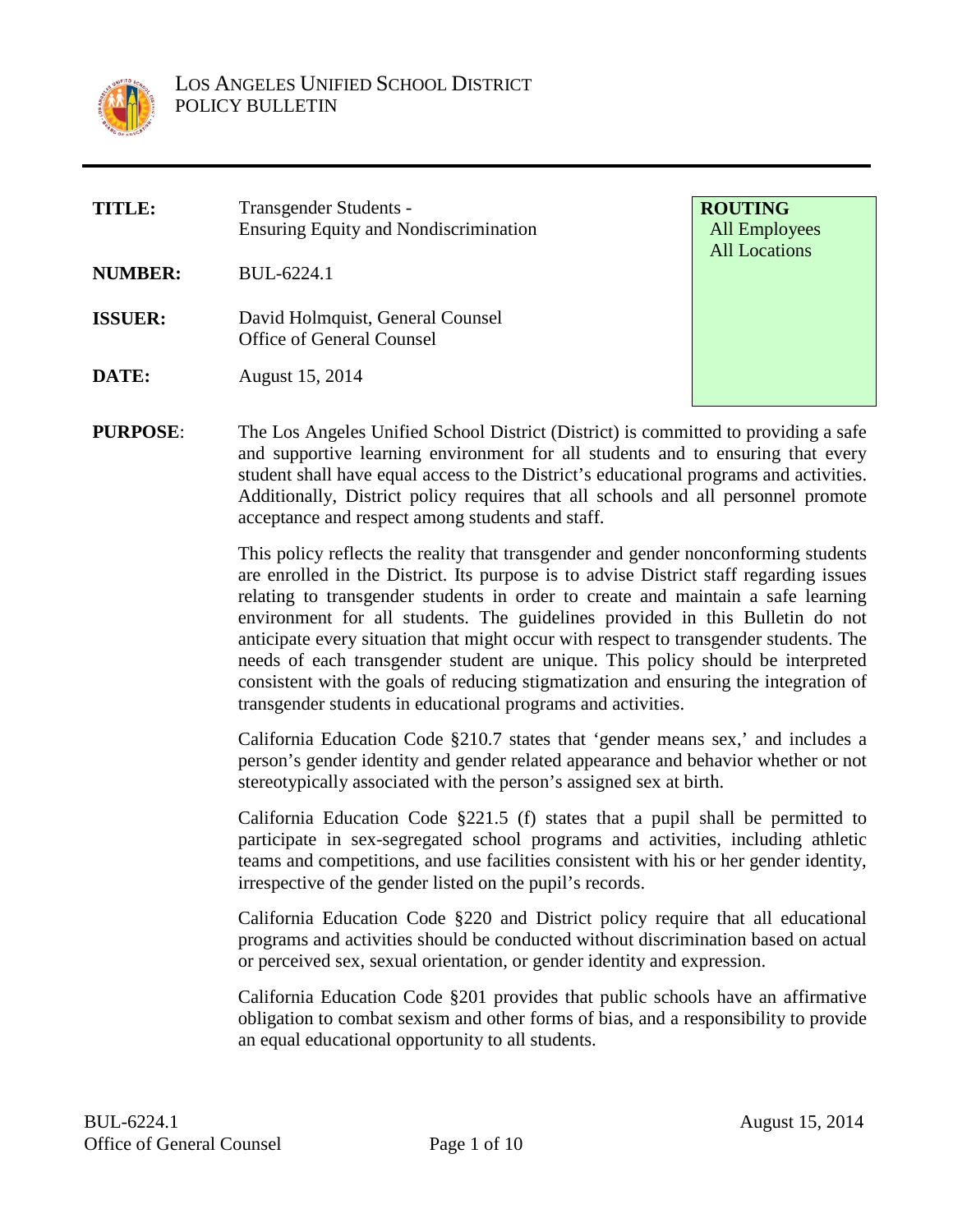

| <b>TITLE:</b>   | Transgender Students -<br><b>Ensuring Equity and Nondiscrimination</b>              | <b>ROUTING</b><br><b>All Employees</b><br><b>All Locations</b> |
|-----------------|-------------------------------------------------------------------------------------|----------------------------------------------------------------|
| <b>NUMBER:</b>  | BUL-6224.1                                                                          |                                                                |
| <b>ISSUER:</b>  | David Holmquist, General Counsel<br><b>Office of General Counsel</b>                |                                                                |
| DATE:           | August 15, 2014                                                                     |                                                                |
| <b>PURPOSE:</b> | The Los Angeles Unified School District (District) is committed to providing a safe |                                                                |

and supportive learning environment for all students and to ensuring that every student shall have equal access to the District's educational programs and activities. Additionally, District policy requires that all schools and all personnel promote acceptance and respect among students and staff.

> This policy reflects the reality that transgender and gender nonconforming students are enrolled in the District. Its purpose is to advise District staff regarding issues relating to transgender students in order to create and maintain a safe learning environment for all students. The guidelines provided in this Bulletin do not anticipate every situation that might occur with respect to transgender students. The needs of each transgender student are unique. This policy should be interpreted consistent with the goals of reducing stigmatization and ensuring the integration of transgender students in educational programs and activities.

> California Education Code §210.7 states that 'gender means sex,' and includes a person's gender identity and gender related appearance and behavior whether or not stereotypically associated with the person's assigned sex at birth.

> California Education Code §221.5 (f) states that a pupil shall be permitted to participate in sex-segregated school programs and activities, including athletic teams and competitions, and use facilities consistent with his or her gender identity, irrespective of the gender listed on the pupil's records.

> California Education Code §220 and District policy require that all educational programs and activities should be conducted without discrimination based on actual or perceived sex, sexual orientation, or gender identity and expression.

> California Education Code §201 provides that public schools have an affirmative obligation to combat sexism and other forms of bias, and a responsibility to provide an equal educational opportunity to all students.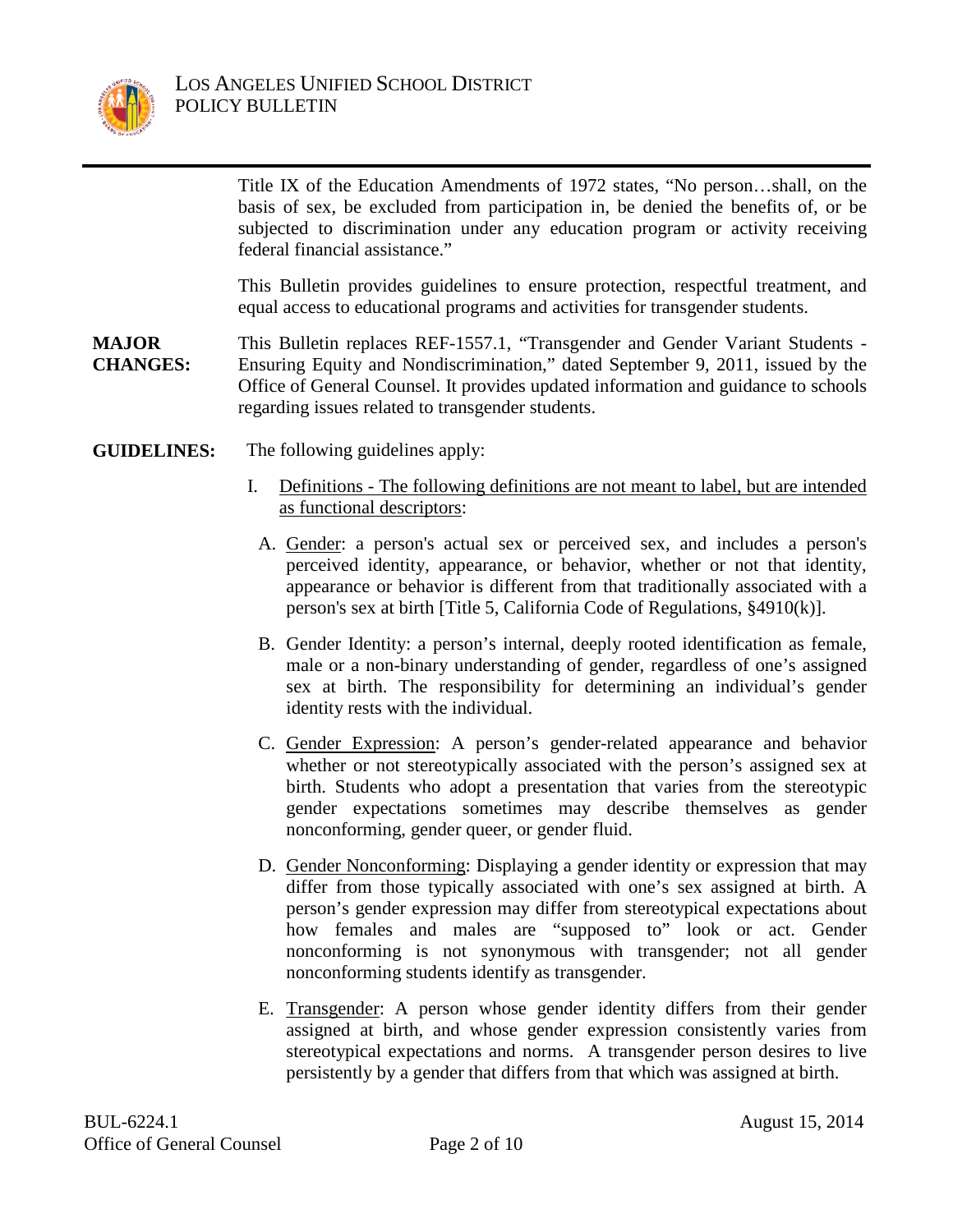

Title IX of the Education Amendments of 1972 states, "No person…shall, on the basis of sex, be excluded from participation in, be denied the benefits of, or be subjected to discrimination under any education program or activity receiving federal financial assistance."

This Bulletin provides guidelines to ensure protection, respectful treatment, and equal access to educational programs and activities for transgender students.

**MAJOR CHANGES:** This Bulletin replaces REF-1557.1, "Transgender and Gender Variant Students - Ensuring Equity and Nondiscrimination," dated September 9, 2011, issued by the Office of General Counsel. It provides updated information and guidance to schools regarding issues related to transgender students.

- **GUIDELINES:** The following guidelines apply:
	- I. Definitions The following definitions are not meant to label, but are intended as functional descriptors:
		- A. Gender: a person's actual sex or perceived sex, and includes a person's perceived identity, appearance, or behavior, whether or not that identity, appearance or behavior is different from that traditionally associated with a person's sex at birth [Title 5, California Code of Regulations, §4910(k)].
		- B. Gender Identity: a person's internal, deeply rooted identification as female, male or a non-binary understanding of gender, regardless of one's assigned sex at birth. The responsibility for determining an individual's gender identity rests with the individual.
		- C. Gender Expression: A person's gender-related appearance and behavior whether or not stereotypically associated with the person's assigned sex at birth. Students who adopt a presentation that varies from the stereotypic gender expectations sometimes may describe themselves as gender nonconforming, gender queer, or gender fluid.
		- D. Gender Nonconforming: Displaying a gender identity or expression that may differ from those typically associated with one's sex assigned at birth. A person's gender expression may differ from stereotypical expectations about how females and males are "supposed to" look or act. Gender nonconforming is not synonymous with transgender; not all gender nonconforming students identify as transgender.
		- E. Transgender: A person whose gender identity differs from their gender assigned at birth, and whose gender expression consistently varies from stereotypical expectations and norms. A transgender person desires to live persistently by a gender that differs from that which was assigned at birth.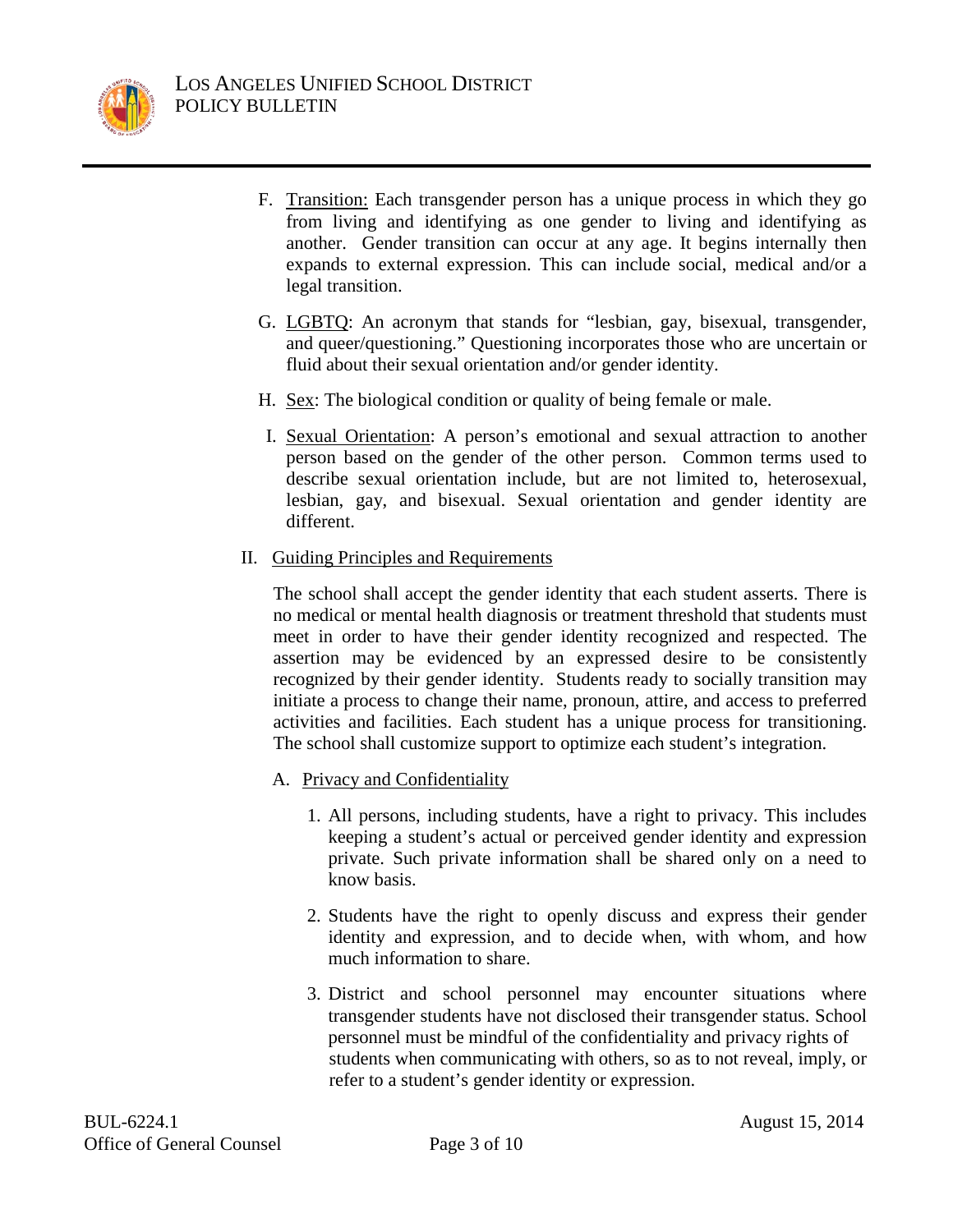

- F. Transition: Each transgender person has a unique process in which they go from living and identifying as one gender to living and identifying as another. Gender transition can occur at any age. It begins internally then expands to external expression. This can include social, medical and/or a legal transition.
- G. LGBTQ: An acronym that stands for "lesbian, gay, bisexual, transgender, and queer/questioning." Questioning incorporates those who are uncertain or fluid about their sexual orientation and/or gender identity.
- H. Sex: The biological condition or quality of being female or male.
- I. Sexual Orientation: A person's emotional and sexual attraction to another person based on the gender of the other person. Common terms used to describe sexual orientation include, but are not limited to, heterosexual, lesbian, gay, and bisexual. Sexual orientation and gender identity are different.
- II. Guiding Principles and Requirements

The school shall accept the gender identity that each student asserts. There is no medical or mental health diagnosis or treatment threshold that students must meet in order to have their gender identity recognized and respected. The assertion may be evidenced by an expressed desire to be consistently recognized by their gender identity. Students ready to socially transition may initiate a process to change their name, pronoun, attire, and access to preferred activities and facilities. Each student has a unique process for transitioning. The school shall customize support to optimize each student's integration.

- A. Privacy and Confidentiality
	- 1. All persons, including students, have a right to privacy. This includes keeping a student's actual or perceived gender identity and expression private. Such private information shall be shared only on a need to know basis.
	- 2. Students have the right to openly discuss and express their gender identity and expression, and to decide when, with whom, and how much information to share.
	- 3. District and school personnel may encounter situations where transgender students have not disclosed their transgender status. School personnel must be mindful of the confidentiality and privacy rights of students when communicating with others, so as to not reveal, imply, or refer to a student's gender identity or expression.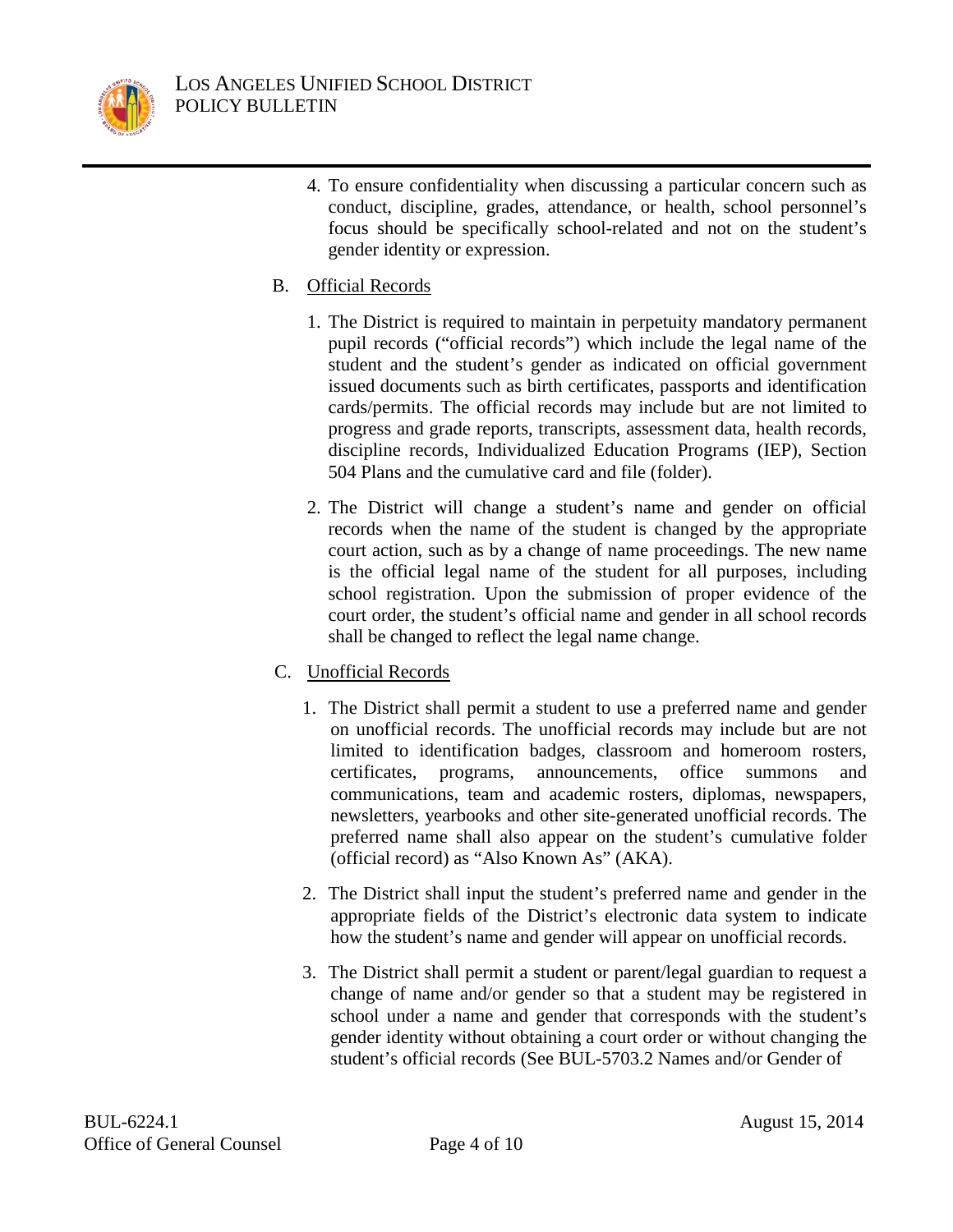

- 4. To ensure confidentiality when discussing a particular concern such as conduct, discipline, grades, attendance, or health, school personnel's focus should be specifically school-related and not on the student's gender identity or expression.
- B. Official Records
	- 1. The District is required to maintain in perpetuity mandatory permanent pupil records ("official records") which include the legal name of the student and the student's gender as indicated on official government issued documents such as birth certificates, passports and identification cards/permits. The official records may include but are not limited to progress and grade reports, transcripts, assessment data, health records, discipline records, Individualized Education Programs (IEP), Section 504 Plans and the cumulative card and file (folder).
	- 2. The District will change a student's name and gender on official records when the name of the student is changed by the appropriate court action, such as by a change of name proceedings. The new name is the official legal name of the student for all purposes, including school registration. Upon the submission of proper evidence of the court order, the student's official name and gender in all school records shall be changed to reflect the legal name change.
- C. Unofficial Records
	- 1. The District shall permit a student to use a preferred name and gender on unofficial records. The unofficial records may include but are not limited to identification badges, classroom and homeroom rosters, certificates, programs, announcements, office summons and communications, team and academic rosters, diplomas, newspapers, newsletters, yearbooks and other site-generated unofficial records. The preferred name shall also appear on the student's cumulative folder (official record) as "Also Known As" (AKA).
	- 2. The District shall input the student's preferred name and gender in the appropriate fields of the District's electronic data system to indicate how the student's name and gender will appear on unofficial records.
	- 3. The District shall permit a student or parent/legal guardian to request a change of name and/or gender so that a student may be registered in school under a name and gender that corresponds with the student's gender identity without obtaining a court order or without changing the student's official records (See BUL-5703.2 Names and/or Gender of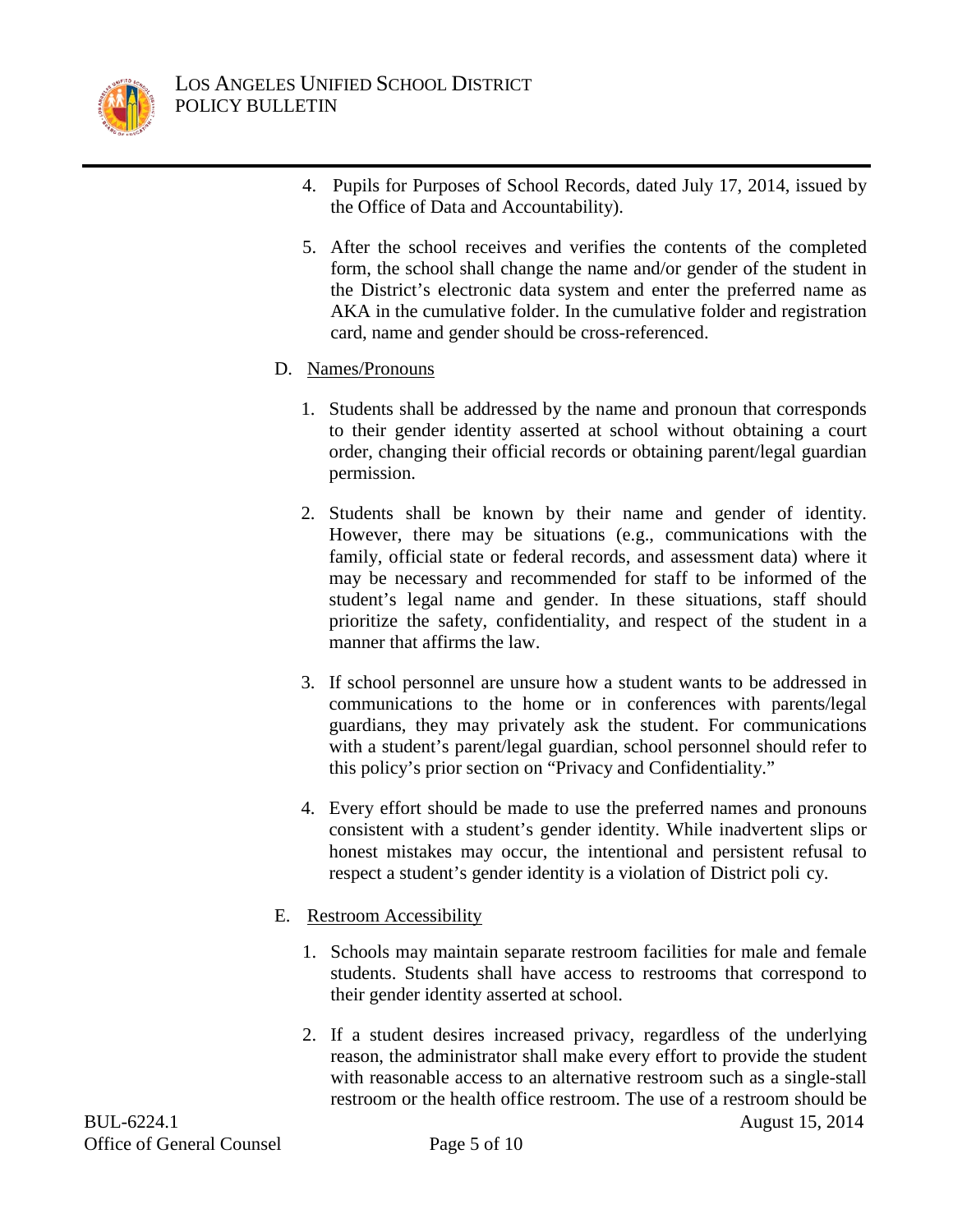

- 4. Pupils for Purposes of School Records, dated July 17, 2014, issued by the Office of Data and Accountability).
- 5. After the school receives and verifies the contents of the completed form, the school shall change the name and/or gender of the student in the District's electronic data system and enter the preferred name as AKA in the cumulative folder. In the cumulative folder and registration card, name and gender should be cross-referenced.
- D. Names/Pronouns
	- 1. Students shall be addressed by the name and pronoun that corresponds to their gender identity asserted at school without obtaining a court order, changing their official records or obtaining parent/legal guardian permission.
	- 2. Students shall be known by their name and gender of identity. However, there may be situations (e.g., communications with the family, official state or federal records, and assessment data) where it may be necessary and recommended for staff to be informed of the student's legal name and gender. In these situations, staff should prioritize the safety, confidentiality, and respect of the student in a manner that affirms the law.
	- 3. If school personnel are unsure how a student wants to be addressed in communications to the home or in conferences with parents/legal guardians, they may privately ask the student. For communications with a student's parent/legal guardian, school personnel should refer to this policy's prior section on "Privacy and Confidentiality."
	- 4. Every effort should be made to use the preferred names and pronouns consistent with a student's gender identity. While inadvertent slips or honest mistakes may occur, the intentional and persistent refusal to respect a student's gender identity is a violation of District poli cy.
- E. Restroom Accessibility
	- 1. Schools may maintain separate restroom facilities for male and female students. Students shall have access to restrooms that correspond to their gender identity asserted at school.
	- 2. If a student desires increased privacy, regardless of the underlying reason, the administrator shall make every effort to provide the student with reasonable access to an alternative restroom such as a single-stall restroom or the health office restroom. The use of a restroom should be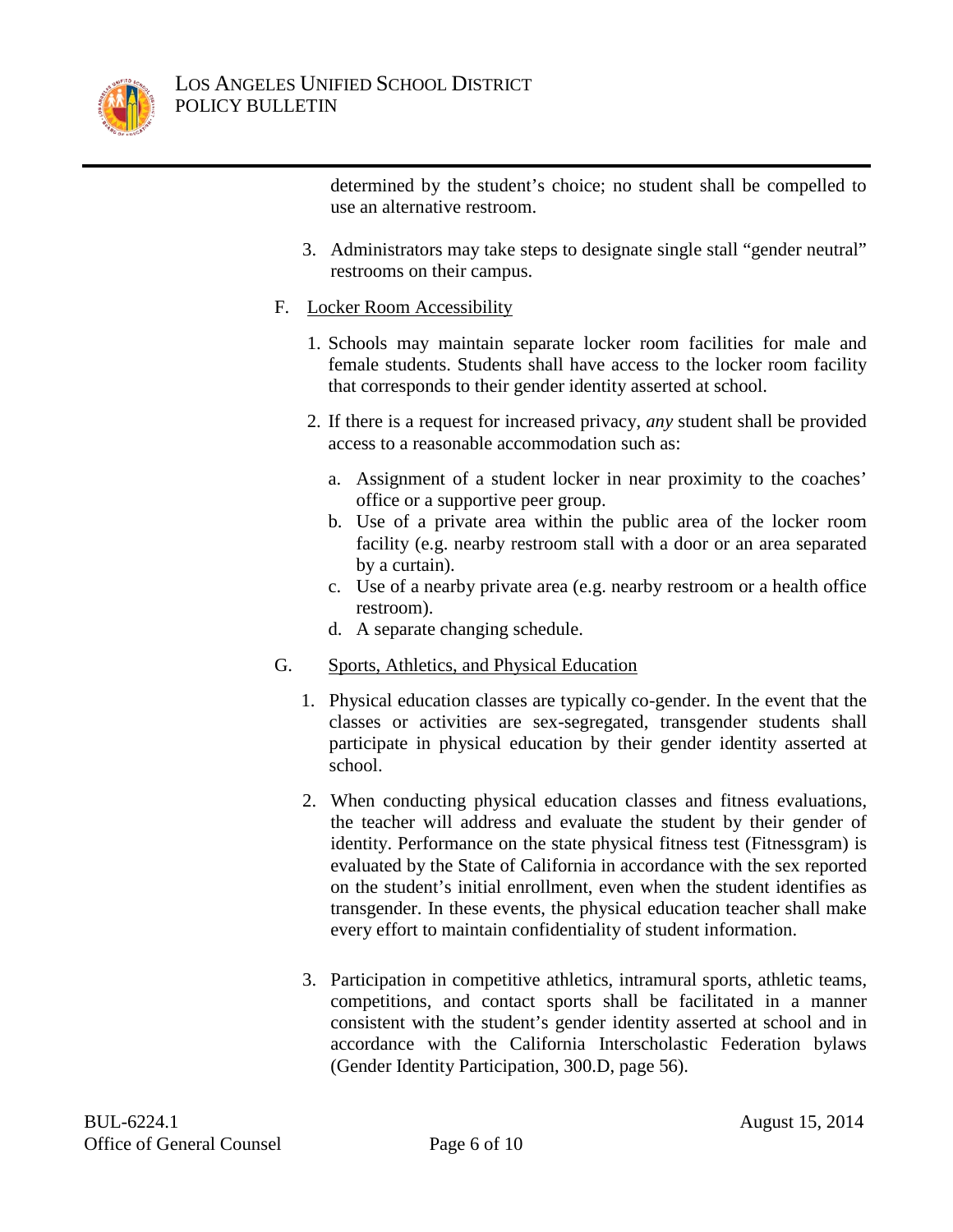

determined by the student's choice; no student shall be compelled to use an alternative restroom.

- 3. Administrators may take steps to designate single stall "gender neutral" restrooms on their campus.
- F. Locker Room Accessibility
	- 1. Schools may maintain separate locker room facilities for male and female students. Students shall have access to the locker room facility that corresponds to their gender identity asserted at school.
	- 2. If there is a request for increased privacy, *any* student shall be provided access to a reasonable accommodation such as:
		- a. Assignment of a student locker in near proximity to the coaches' office or a supportive peer group.
		- b. Use of a private area within the public area of the locker room facility (e.g. nearby restroom stall with a door or an area separated by a curtain).
		- c. Use of a nearby private area (e.g. nearby restroom or a health office restroom).
		- d. A separate changing schedule.
- G. Sports, Athletics, and Physical Education
	- 1. Physical education classes are typically co-gender. In the event that the classes or activities are sex-segregated, transgender students shall participate in physical education by their gender identity asserted at school.
	- 2. When conducting physical education classes and fitness evaluations, the teacher will address and evaluate the student by their gender of identity. Performance on the state physical fitness test (Fitnessgram) is evaluated by the State of California in accordance with the sex reported on the student's initial enrollment, even when the student identifies as transgender. In these events, the physical education teacher shall make every effort to maintain confidentiality of student information.
	- 3. Participation in competitive athletics, intramural sports, athletic teams, competitions, and contact sports shall be facilitated in a manner consistent with the student's gender identity asserted at school and in accordance with the California Interscholastic Federation bylaws (Gender Identity Participation, 300.D, page 56).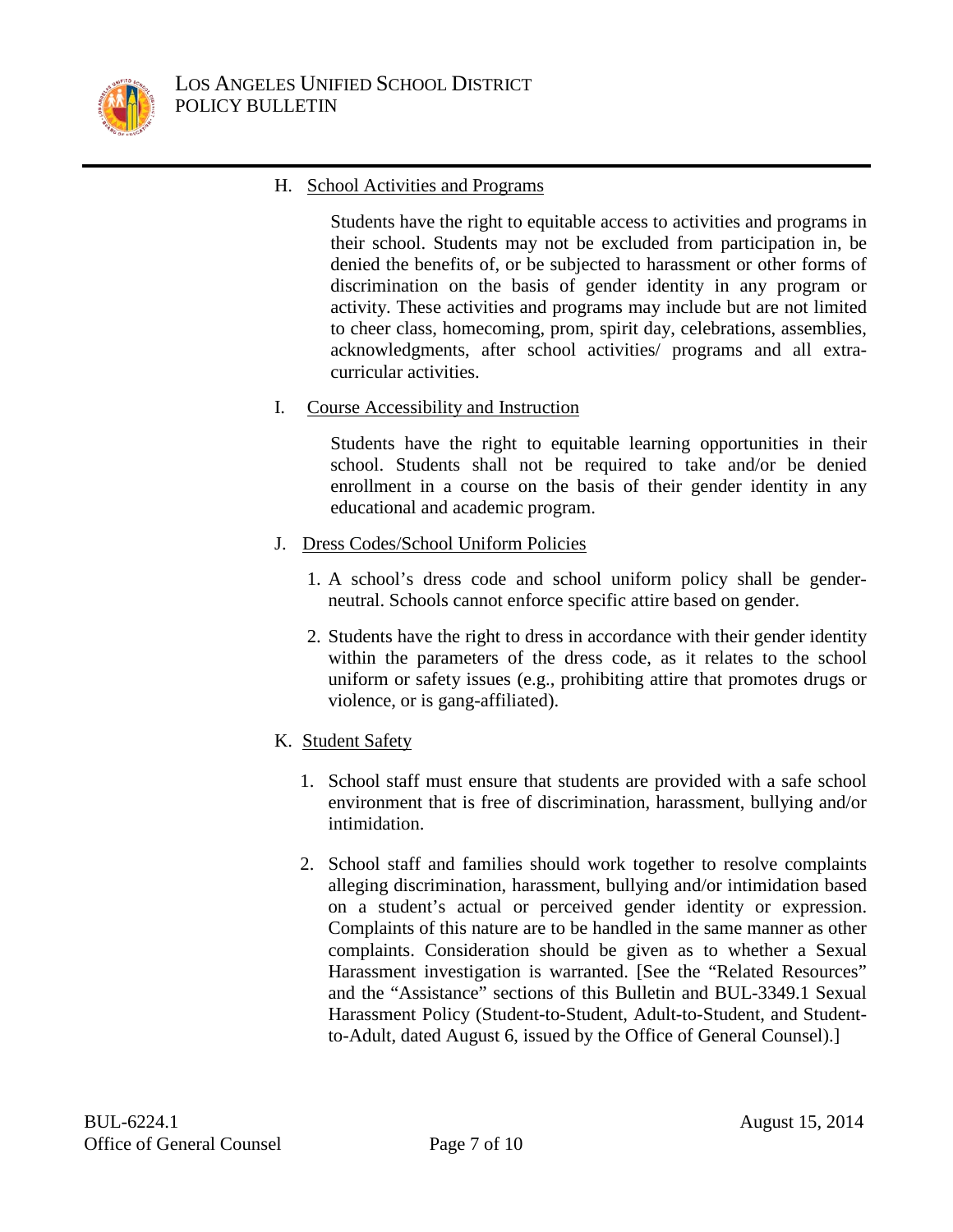

## H. School Activities and Programs

Students have the right to equitable access to activities and programs in their school. Students may not be excluded from participation in, be denied the benefits of, or be subjected to harassment or other forms of discrimination on the basis of gender identity in any program or activity. These activities and programs may include but are not limited to cheer class, homecoming, prom, spirit day, celebrations, assemblies, acknowledgments, after school activities/ programs and all extracurricular activities.

## I. Course Accessibility and Instruction

Students have the right to equitable learning opportunities in their school. Students shall not be required to take and/or be denied enrollment in a course on the basis of their gender identity in any educational and academic program.

## J. Dress Codes/School Uniform Policies

- 1. A school's dress code and school uniform policy shall be genderneutral. Schools cannot enforce specific attire based on gender.
- 2. Students have the right to dress in accordance with their gender identity within the parameters of the dress code, as it relates to the school uniform or safety issues (e.g., prohibiting attire that promotes drugs or violence, or is gang-affiliated).

## K. Student Safety

- 1. School staff must ensure that students are provided with a safe school environment that is free of discrimination, harassment, bullying and/or intimidation.
- 2. School staff and families should work together to resolve complaints alleging discrimination, harassment, bullying and/or intimidation based on a student's actual or perceived gender identity or expression. Complaints of this nature are to be handled in the same manner as other complaints. Consideration should be given as to whether a Sexual Harassment investigation is warranted. [See the "Related Resources" and the "Assistance" sections of this Bulletin and BUL-3349.1 Sexual Harassment Policy (Student-to-Student, Adult-to-Student, and Studentto-Adult, dated August 6, issued by the Office of General Counsel).]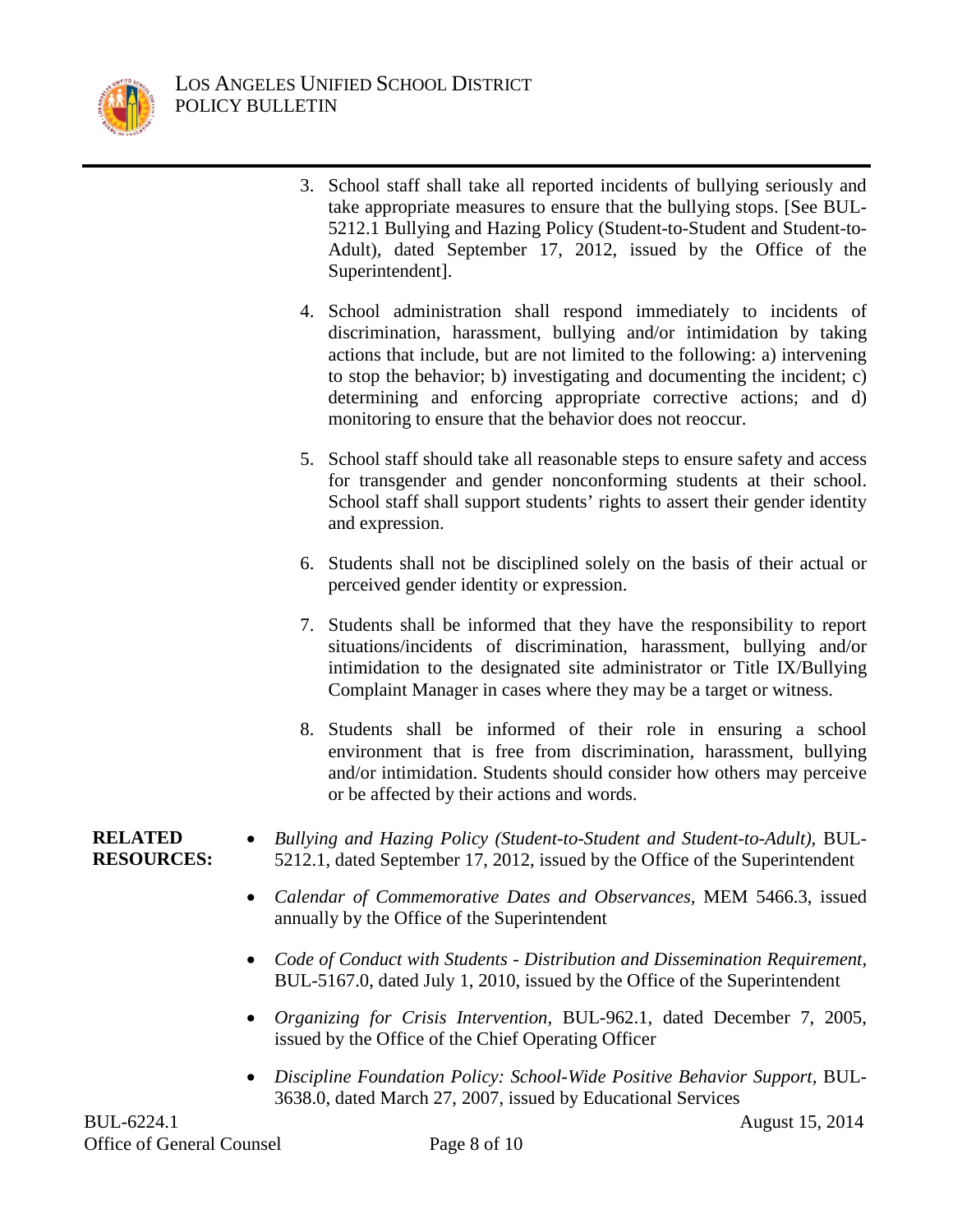

- 3. School staff shall take all reported incidents of bullying seriously and take appropriate measures to ensure that the bullying stops. [See BUL-5212.1 Bullying and Hazing Policy (Student-to-Student and Student-to-Adult)*,* dated September 17, 2012, issued by the Office of the Superintendent].
- 4. School administration shall respond immediately to incidents of discrimination, harassment, bullying and/or intimidation by taking actions that include, but are not limited to the following: a) intervening to stop the behavior; b) investigating and documenting the incident; c) determining and enforcing appropriate corrective actions; and d) monitoring to ensure that the behavior does not reoccur.
- 5. School staff should take all reasonable steps to ensure safety and access for transgender and gender nonconforming students at their school. School staff shall support students' rights to assert their gender identity and expression.
- 6. Students shall not be disciplined solely on the basis of their actual or perceived gender identity or expression.
- 7. Students shall be informed that they have the responsibility to report situations/incidents of discrimination, harassment, bullying and/or intimidation to the designated site administrator or Title IX/Bullying Complaint Manager in cases where they may be a target or witness.
- 8. Students shall be informed of their role in ensuring a school environment that is free from discrimination, harassment, bullying and/or intimidation. Students should consider how others may perceive or be affected by their actions and words.
- **RELATED RESOURCES:** • *Bullying and Hazing Policy (Student-to-Student and Student-to-Adult),* BUL-5212.1, dated September 17, 2012, issued by the Office of the Superintendent
	- *Calendar of Commemorative Dates and Observances,* MEM 5466.3, issued annually by the Office of the Superintendent
	- *Code of Conduct with Students - Distribution and Dissemination Requirement,* BUL-5167.0, dated July 1, 2010, issued by the Office of the Superintendent
	- *Organizing for Crisis Intervention,* BUL-962.1, dated December 7, 2005, issued by the Office of the Chief Operating Officer
	- *Discipline Foundation Policy: School-Wide Positive Behavior Support,* BUL-3638.0, dated March 27, 2007, issued by Educational Services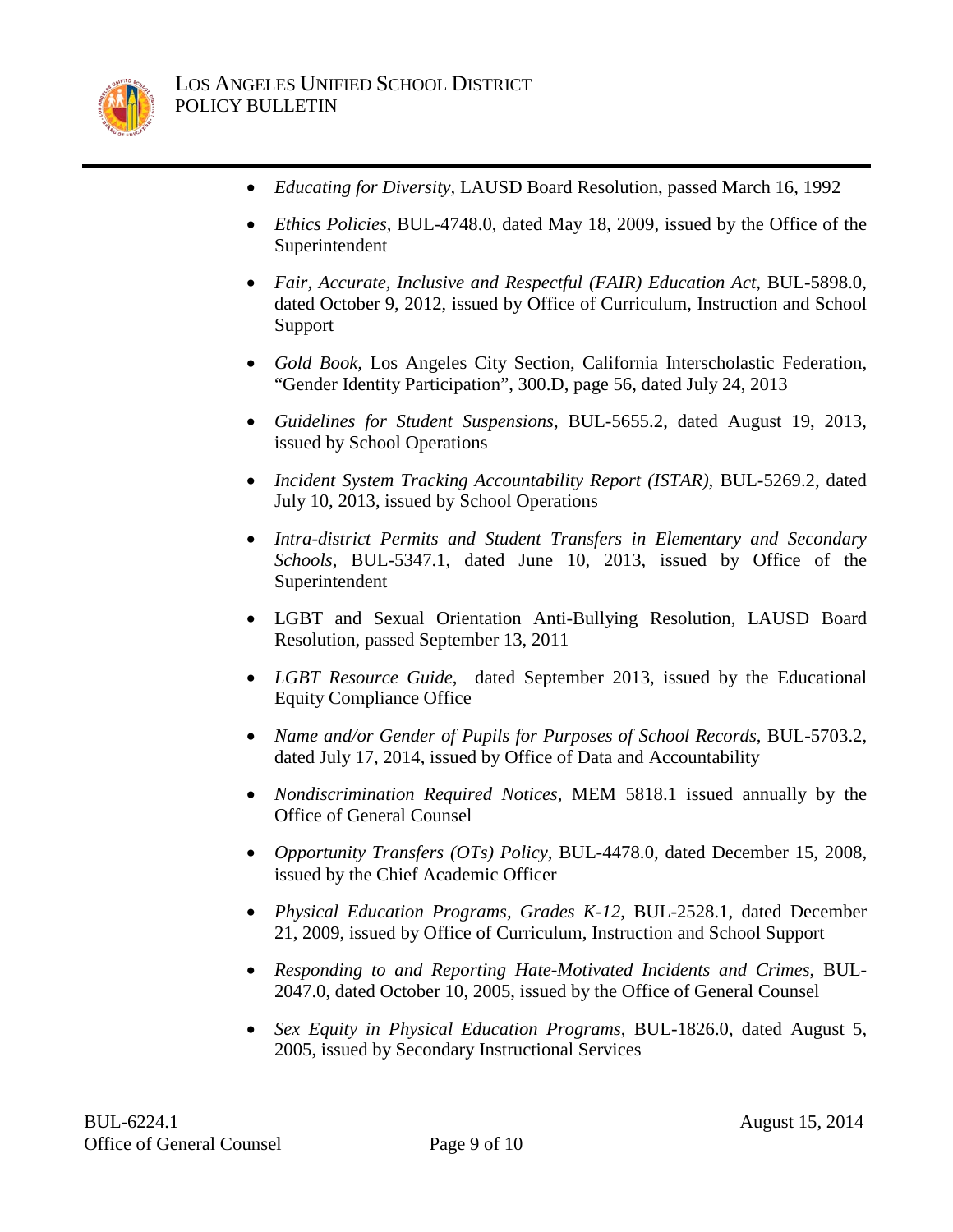

- *Educating for Diversity,* LAUSD Board Resolution, passed March 16, 1992
- *Ethics Policies,* BUL-4748.0, dated May 18, 2009, issued by the Office of the Superintendent
- *Fair, Accurate, Inclusive and Respectful (FAIR) Education Act, BUL-5898.0,* dated October 9, 2012, issued by Office of Curriculum, Instruction and School Support
- *Gold Book,* Los Angeles City Section, California Interscholastic Federation, "Gender Identity Participation", 300.D, page 56, dated July 24, 2013
- *Guidelines for Student Suspensions,* BUL-5655.2, dated August 19, 2013, issued by School Operations
- *Incident System Tracking Accountability Report (ISTAR)*, BUL-5269.2, dated July 10, 2013, issued by School Operations
- *Intra-district Permits and Student Transfers in Elementary and Secondary Schools,* BUL-5347.1, dated June 10, 2013, issued by Office of the Superintendent
- LGBT and Sexual Orientation Anti-Bullying Resolution, LAUSD Board Resolution, passed September 13, 2011
- *LGBT Resource Guide*, dated September 2013, issued by the Educational Equity Compliance Office
- *Name and/or Gender of Pupils for Purposes of School Records*, BUL-5703.2, dated July 17, 2014, issued by Office of Data and Accountability
- *Nondiscrimination Required Notices,* MEM 5818.1 issued annually by the Office of General Counsel
- *Opportunity Transfers (OTs) Policy*, BUL-4478.0, dated December 15, 2008, issued by the Chief Academic Officer
- *Physical Education Programs, Grades K-12*, BUL-2528.1, dated December 21, 2009, issued by Office of Curriculum, Instruction and School Support
- *Responding to and Reporting Hate-Motivated Incidents and Crimes*, BUL-2047.0, dated October 10, 2005, issued by the Office of General Counsel
- *Sex Equity in Physical Education Programs*, BUL-1826.0, dated August 5, 2005, issued by Secondary Instructional Services